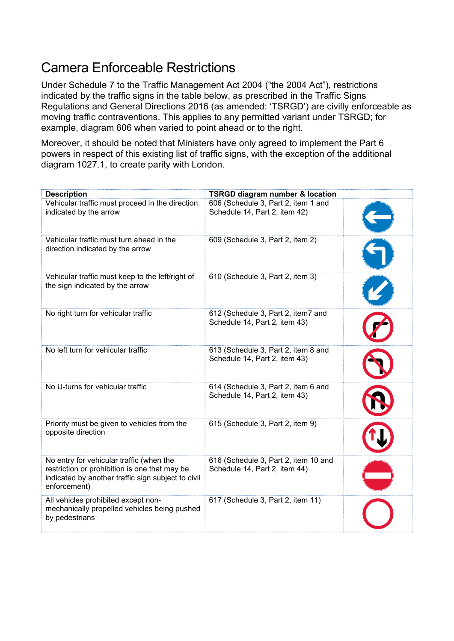## Camera Enforceable Restrictions

Under Schedule 7 to the Traffic Management Act 2004 ("the 2004 Act"), restrictions indicated by the traffic signs in the table below, as prescribed in the Traffic Signs Regulations and General Directions 2016 (as amended: 'TSRGD') are civilly enforceable as moving traffic contraventions. This applies to any permitted variant under TSRGD; for example, diagram 606 when varied to point ahead or to the right.

Moreover, it should be noted that Ministers have only agreed to implement the Part 6 powers in respect of this existing list of traffic signs, with the exception of the additional diagram 1027.1, to create parity with London.

| <b>Description</b>                                                                                                                                              | <b>TSRGD diagram number &amp; location</b>                            |  |
|-----------------------------------------------------------------------------------------------------------------------------------------------------------------|-----------------------------------------------------------------------|--|
| Vehicular traffic must proceed in the direction<br>indicated by the arrow                                                                                       | 606 (Schedule 3, Part 2, item 1 and<br>Schedule 14, Part 2, item 42)  |  |
| Vehicular traffic must turn ahead in the<br>direction indicated by the arrow                                                                                    | 609 (Schedule 3, Part 2, item 2)                                      |  |
| Vehicular traffic must keep to the left/right of<br>the sign indicated by the arrow                                                                             | 610 (Schedule 3, Part 2, item 3)                                      |  |
| No right turn for vehicular traffic                                                                                                                             | 612 (Schedule 3, Part 2, item7 and<br>Schedule 14, Part 2, item 43)   |  |
| No left turn for vehicular traffic                                                                                                                              | 613 (Schedule 3, Part 2, item 8 and<br>Schedule 14, Part 2, item 43)  |  |
| No U-turns for vehicular traffic                                                                                                                                | 614 (Schedule 3, Part 2, item 6 and<br>Schedule 14, Part 2, item 43)  |  |
| Priority must be given to vehicles from the<br>opposite direction                                                                                               | 615 (Schedule 3, Part 2, item 9)                                      |  |
| No entry for vehicular traffic (when the<br>restriction or prohibition is one that may be<br>indicated by another traffic sign subject to civil<br>enforcement) | 616 (Schedule 3, Part 2, item 10 and<br>Schedule 14, Part 2, item 44) |  |
| All vehicles prohibited except non-<br>mechanically propelled vehicles being pushed<br>by pedestrians                                                           | 617 (Schedule 3, Part 2, item 11)                                     |  |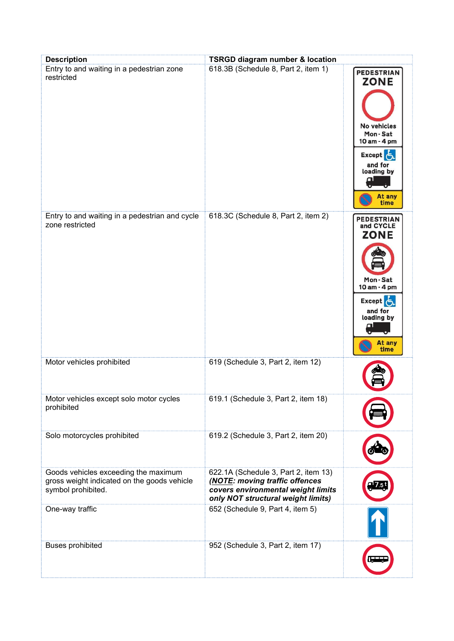| <b>Description</b>                                                                                        | <b>TSRGD diagram number &amp; location</b>                                                                                                         |                                                                                                                                   |
|-----------------------------------------------------------------------------------------------------------|----------------------------------------------------------------------------------------------------------------------------------------------------|-----------------------------------------------------------------------------------------------------------------------------------|
| Entry to and waiting in a pedestrian zone<br>restricted                                                   | 618.3B (Schedule 8, Part 2, item 1)                                                                                                                | <b>PEDESTRIAN</b><br><b>ZONE</b><br>No vehicles<br>Mon-Sat<br>10 am - 4 pm<br>Except 5<br>and for<br>loading by<br>At any<br>time |
| Entry to and waiting in a pedestrian and cycle<br>zone restricted                                         | 618.3C (Schedule 8, Part 2, item 2)                                                                                                                | <b>PEDESTRIAN</b><br>and CYCLE<br><b>ZONE</b><br>Mon-Sat<br>10 am - 4 pm<br>Except &<br>and for<br>loading by<br>At any<br>time   |
| Motor vehicles prohibited                                                                                 | 619 (Schedule 3, Part 2, item 12)                                                                                                                  |                                                                                                                                   |
| Motor vehicles except solo motor cycles<br>prohibited                                                     | 619.1 (Schedule 3, Part 2, item 18)                                                                                                                |                                                                                                                                   |
| Solo motorcycles prohibited                                                                               | 619.2 (Schedule 3, Part 2, item 20)                                                                                                                |                                                                                                                                   |
| Goods vehicles exceeding the maximum<br>gross weight indicated on the goods vehicle<br>symbol prohibited. | 622.1A (Schedule 3, Part 2, item 13)<br>(NOTE: moving traffic offences<br>covers environmental weight limits<br>only NOT structural weight limits) |                                                                                                                                   |
| One-way traffic                                                                                           | 652 (Schedule 9, Part 4, item 5)                                                                                                                   |                                                                                                                                   |
| <b>Buses prohibited</b>                                                                                   | 952 (Schedule 3, Part 2, item 17)                                                                                                                  |                                                                                                                                   |